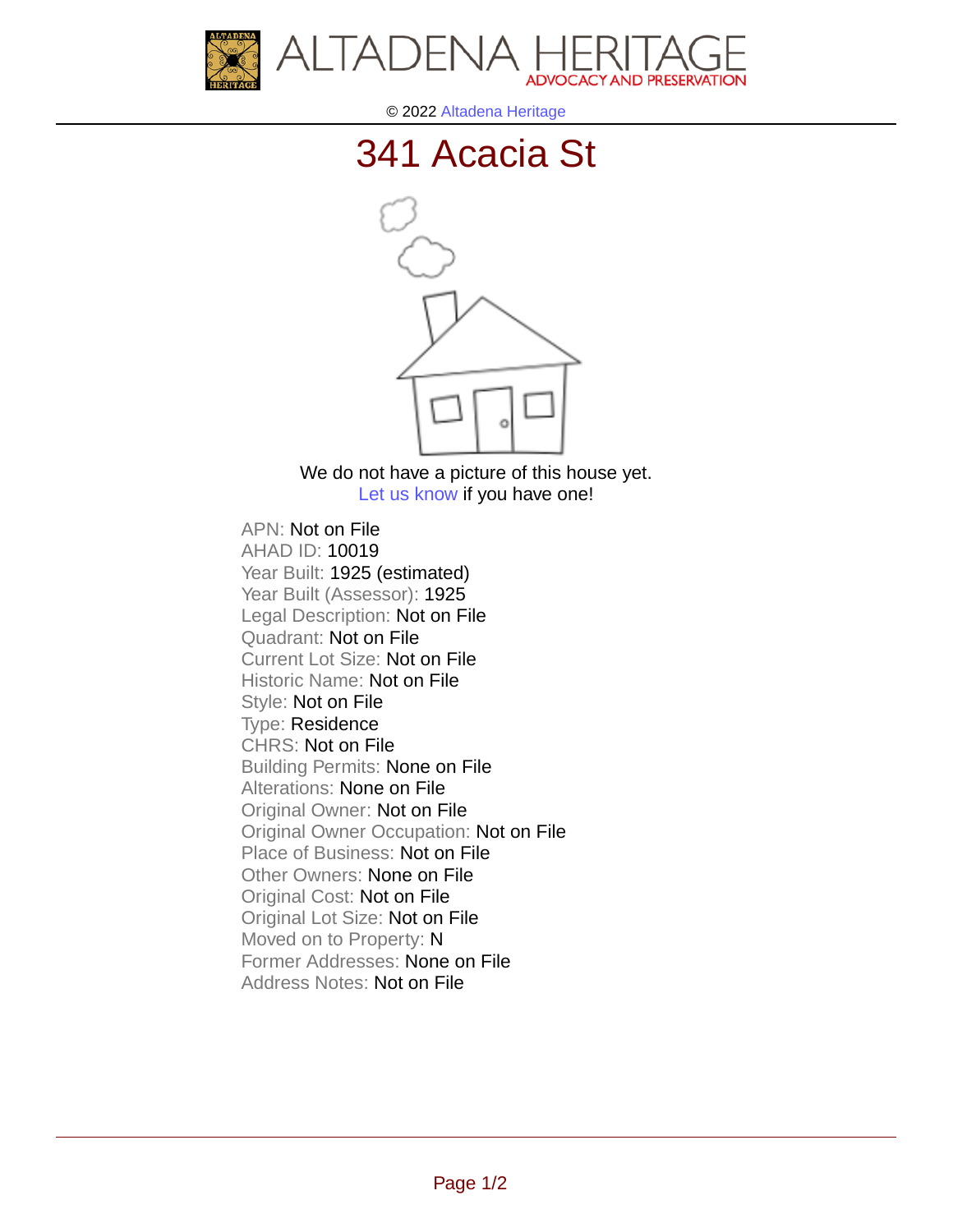



© 2022 [Altadena Heritage](http://altadenaheritage.org/)

## [341 Acacia St](ahad.altadenaheritagepdb.org/properties/10019)



We do not have a picture of this house yet. [Let us know](http://altadenaheritage.org/contact-us/) if you have one!

APN: Not on File [AHAD ID: 10019](ahad.altadenaheritagepdb.org/properties/10019) Year Built: 1925 (estimated) Year Built (Assessor): 1925 Legal Description: Not on File Quadrant: Not on File Current Lot Size: Not on File Historic Name: Not on File Style: Not on File Type: Residence CHRS: Not on File Building Permits: None on File Alterations: None on File Original Owner: Not on File Original Owner Occupation: Not on File Place of Business: Not on File Other Owners: None on File Original Cost: Not on File Original Lot Size: Not on File Moved on to Property: N Former Addresses: None on File Address Notes: Not on File